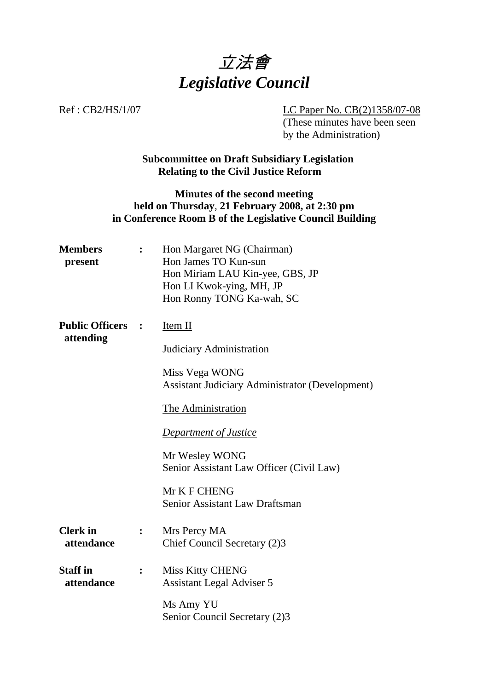

Ref : CB2/HS/1/07 LC Paper No. CB(2)1358/07-08 (These minutes have been seen by the Administration)

# **Subcommittee on Draft Subsidiary Legislation Relating to the Civil Justice Reform**

# **Minutes of the second meeting held on Thursday**, **21 February 2008, at 2:30 pm in Conference Room B of the Legislative Council Building**

| <b>Members</b><br>present     | $\ddot{\cdot}$ | Hon Margaret NG (Chairman)<br>Hon James TO Kun-sun<br>Hon Miriam LAU Kin-yee, GBS, JP<br>Hon LI Kwok-ying, MH, JP<br>Hon Ronny TONG Ka-wah, SC |
|-------------------------------|----------------|------------------------------------------------------------------------------------------------------------------------------------------------|
| <b>Public Officers</b>        |                | Item II                                                                                                                                        |
| attending                     |                | <b>Judiciary Administration</b>                                                                                                                |
|                               |                | Miss Vega WONG<br><b>Assistant Judiciary Administrator (Development)</b>                                                                       |
|                               |                | The Administration                                                                                                                             |
|                               |                | <b>Department of Justice</b>                                                                                                                   |
|                               |                | Mr Wesley WONG<br>Senior Assistant Law Officer (Civil Law)                                                                                     |
|                               |                | Mr K F CHENG<br><b>Senior Assistant Law Draftsman</b>                                                                                          |
| <b>Clerk</b> in<br>attendance |                | Mrs Percy MA<br>Chief Council Secretary (2)3                                                                                                   |
| <b>Staff in</b><br>attendance |                | <b>Miss Kitty CHENG</b><br><b>Assistant Legal Adviser 5</b>                                                                                    |
|                               |                | Ms Amy YU<br>Senior Council Secretary (2)3                                                                                                     |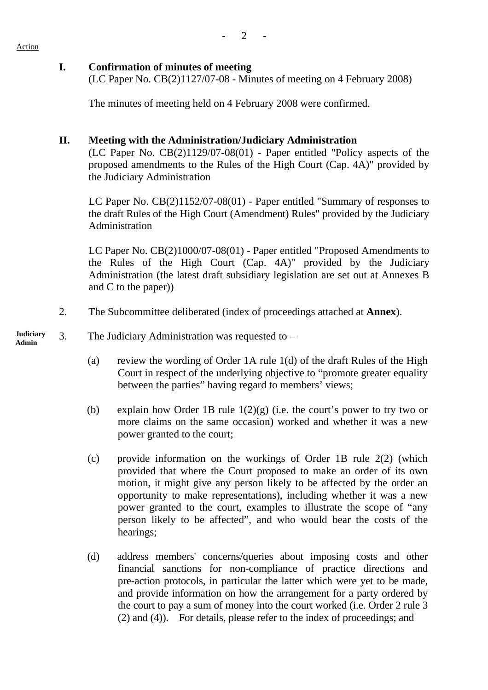# **I. Confirmation of minutes of meeting**

(LC Paper No. CB(2)1127/07-08 - Minutes of meeting on 4 February 2008)

The minutes of meeting held on 4 February 2008 were confirmed.

# **II. Meeting with the Administration/Judiciary Administration**

 (LC Paper No. CB(2)1129/07-08(01) - Paper entitled "Policy aspects of the proposed amendments to the Rules of the High Court (Cap. 4A)" provided by the Judiciary Administration

 LC Paper No. CB(2)1152/07-08(01) - Paper entitled "Summary of responses to the draft Rules of the High Court (Amendment) Rules" provided by the Judiciary Administration

 LC Paper No. CB(2)1000/07-08(01) - Paper entitled "Proposed Amendments to the Rules of the High Court (Cap. 4A)" provided by the Judiciary Administration (the latest draft subsidiary legislation are set out at Annexes B and C to the paper))

2. The Subcommittee deliberated (index of proceedings attached at **Annex**).

#### **Judiciary**  Judiciary 3. The Judiciary Administration was requested to –

- (a) review the wording of Order 1A rule 1(d) of the draft Rules of the High Court in respect of the underlying objective to "promote greater equality between the parties" having regard to members' views;
- (b) explain how Order 1B rule  $1(2)(g)$  (i.e. the court's power to try two or more claims on the same occasion) worked and whether it was a new power granted to the court;
- (c) provide information on the workings of Order 1B rule 2(2) (which provided that where the Court proposed to make an order of its own motion, it might give any person likely to be affected by the order an opportunity to make representations), including whether it was a new power granted to the court, examples to illustrate the scope of "any person likely to be affected", and who would bear the costs of the hearings;
- (d) address members' concerns/queries about imposing costs and other financial sanctions for non-compliance of practice directions and pre-action protocols, in particular the latter which were yet to be made, and provide information on how the arrangement for a party ordered by the court to pay a sum of money into the court worked (i.e. Order 2 rule 3 (2) and (4)). For details, please refer to the index of proceedings; and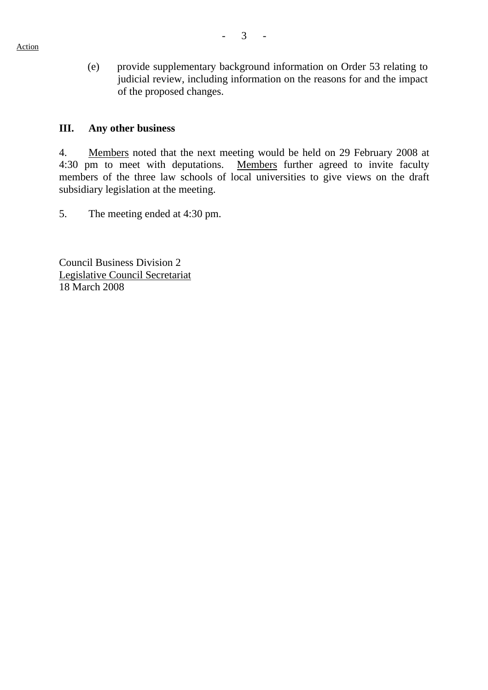(e) provide supplementary background information on Order 53 relating to judicial review, including information on the reasons for and the impact of the proposed changes.

### **III. Any other business**

4. Members noted that the next meeting would be held on 29 February 2008 at 4:30 pm to meet with deputations. Members further agreed to invite faculty members of the three law schools of local universities to give views on the draft subsidiary legislation at the meeting.

5. The meeting ended at 4:30 pm.

Council Business Division 2 Legislative Council Secretariat 18 March 2008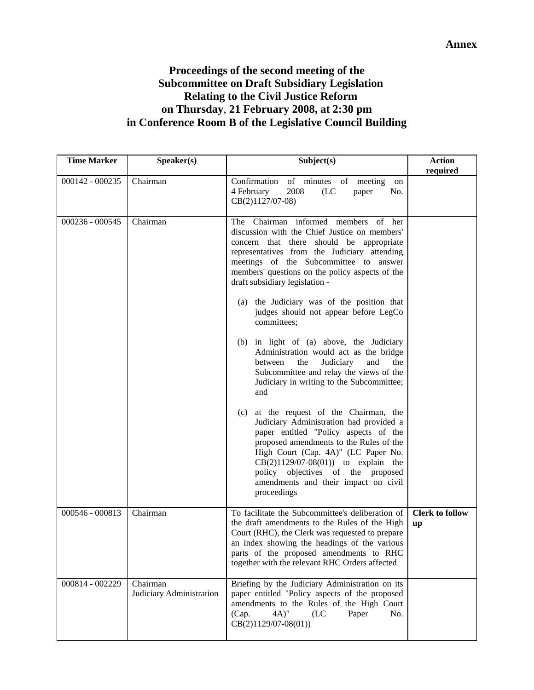# **Proceedings of the second meeting of the Subcommittee on Draft Subsidiary Legislation Relating to the Civil Justice Reform on Thursday**, **21 February 2008, at 2:30 pm in Conference Room B of the Legislative Council Building**

| <b>Time Marker</b> | Speaker(s)                           | Subject(s)                                                                                                                                                                                                                                                                                                                                                                                              | <b>Action</b><br>required    |
|--------------------|--------------------------------------|---------------------------------------------------------------------------------------------------------------------------------------------------------------------------------------------------------------------------------------------------------------------------------------------------------------------------------------------------------------------------------------------------------|------------------------------|
| 000142 - 000235    | Chairman                             | Confirmation<br>of minutes of meeting<br>on<br>2008<br>4 February<br>(LC)<br>No.<br>paper<br>CB(2)1127/07-08)                                                                                                                                                                                                                                                                                           |                              |
| 000236 - 000545    | Chairman                             | The Chairman informed members of her<br>discussion with the Chief Justice on members'<br>concern that there should be appropriate<br>representatives from the Judiciary attending<br>meetings of the Subcommittee to answer<br>members' questions on the policy aspects of the<br>draft subsidiary legislation -<br>(a) the Judiciary was of the position that<br>judges should not appear before LegCo |                              |
|                    |                                      | committees;<br>(b) in light of (a) above, the Judiciary<br>Administration would act as the bridge<br>Judiciary<br>and<br>between<br>the<br>the<br>Subcommittee and relay the views of the<br>Judiciary in writing to the Subcommittee;<br>and                                                                                                                                                           |                              |
|                    |                                      | at the request of the Chairman, the<br>(c)<br>Judiciary Administration had provided a<br>paper entitled "Policy aspects of the<br>proposed amendments to the Rules of the<br>High Court (Cap. 4A)" (LC Paper No.<br>$CB(2)1129/07-08(01)$ to explain the<br>policy objectives of the proposed<br>amendments and their impact on civil<br>proceedings                                                    |                              |
| 000546 - 000813    | Chairman                             | To facilitate the Subcommittee's deliberation of<br>the draft amendments to the Rules of the High<br>Court (RHC), the Clerk was requested to prepare<br>an index showing the headings of the various<br>parts of the proposed amendments to RHC<br>together with the relevant RHC Orders affected                                                                                                       | <b>Clerk to follow</b><br>up |
| 000814 - 002229    | Chairman<br>Judiciary Administration | Briefing by the Judiciary Administration on its<br>paper entitled "Policy aspects of the proposed<br>amendments to the Rules of the High Court<br>(Cap.<br>$(4A)$ "<br>Paper<br>No.<br>(LC<br>$CB(2)1129/07-08(01))$                                                                                                                                                                                    |                              |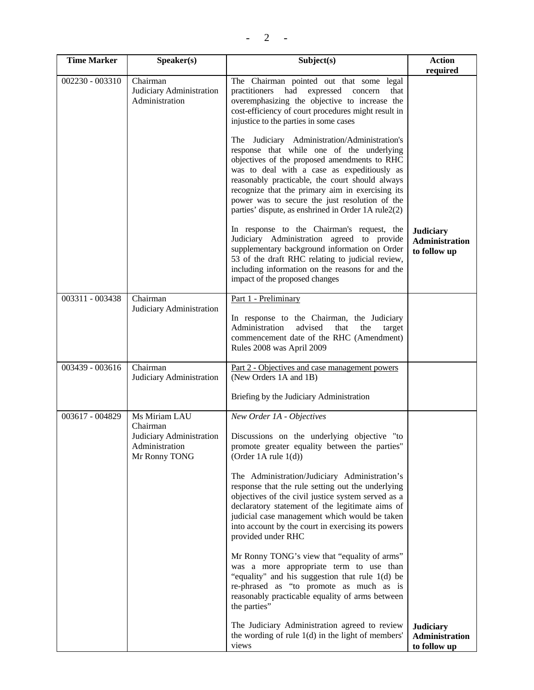| <b>Time Marker</b> | Speaker(s)                                                                               | Subject(s)                                                                                                                                                                                                                                                                                                                                                                                                | <b>Action</b><br>required                                 |
|--------------------|------------------------------------------------------------------------------------------|-----------------------------------------------------------------------------------------------------------------------------------------------------------------------------------------------------------------------------------------------------------------------------------------------------------------------------------------------------------------------------------------------------------|-----------------------------------------------------------|
| 002230 - 003310    | Chairman<br>Judiciary Administration<br>Administration                                   | The Chairman pointed out that some legal<br>practitioners had expressed<br>concern<br>that<br>overemphasizing the objective to increase the<br>cost-efficiency of court procedures might result in<br>injustice to the parties in some cases                                                                                                                                                              |                                                           |
|                    |                                                                                          | The Judiciary Administration/Administration's<br>response that while one of the underlying<br>objectives of the proposed amendments to RHC<br>was to deal with a case as expeditiously as<br>reasonably practicable, the court should always<br>recognize that the primary aim in exercising its<br>power was to secure the just resolution of the<br>parties' dispute, as enshrined in Order 1A rule2(2) |                                                           |
|                    |                                                                                          | In response to the Chairman's request, the<br>Judiciary Administration agreed to provide<br>supplementary background information on Order<br>53 of the draft RHC relating to judicial review,<br>including information on the reasons for and the<br>impact of the proposed changes                                                                                                                       | <b>Judiciary</b><br><b>Administration</b><br>to follow up |
| 003311 - 003438    | Chairman<br>Judiciary Administration                                                     | Part 1 - Preliminary<br>In response to the Chairman, the Judiciary<br>Administration<br>advised<br>the<br>that<br>target<br>commencement date of the RHC (Amendment)<br>Rules 2008 was April 2009                                                                                                                                                                                                         |                                                           |
| 003439 - 003616    | Chairman<br>Judiciary Administration                                                     | Part 2 - Objectives and case management powers<br>(New Orders 1A and 1B)<br>Briefing by the Judiciary Administration                                                                                                                                                                                                                                                                                      |                                                           |
|                    |                                                                                          |                                                                                                                                                                                                                                                                                                                                                                                                           |                                                           |
| 003617 - 004829    | Ms Miriam LAU<br>Chairman<br>Judiciary Administration<br>Administration<br>Mr Ronny TONG | New Order 1A - Objectives<br>Discussions on the underlying objective "to<br>promote greater equality between the parties"<br>(Order 1A rule $1(d)$ )                                                                                                                                                                                                                                                      |                                                           |
|                    |                                                                                          | The Administration/Judiciary Administration's<br>response that the rule setting out the underlying<br>objectives of the civil justice system served as a<br>declaratory statement of the legitimate aims of<br>judicial case management which would be taken<br>into account by the court in exercising its powers<br>provided under RHC                                                                  |                                                           |
|                    |                                                                                          | Mr Ronny TONG's view that "equality of arms"<br>was a more appropriate term to use than<br>"equality" and his suggestion that rule 1(d) be<br>re-phrased as "to promote as much as is<br>reasonably practicable equality of arms between<br>the parties"                                                                                                                                                  |                                                           |
|                    |                                                                                          | The Judiciary Administration agreed to review<br>the wording of rule $1(d)$ in the light of members'<br>views                                                                                                                                                                                                                                                                                             | <b>Judiciary</b><br>Administration<br>to follow up        |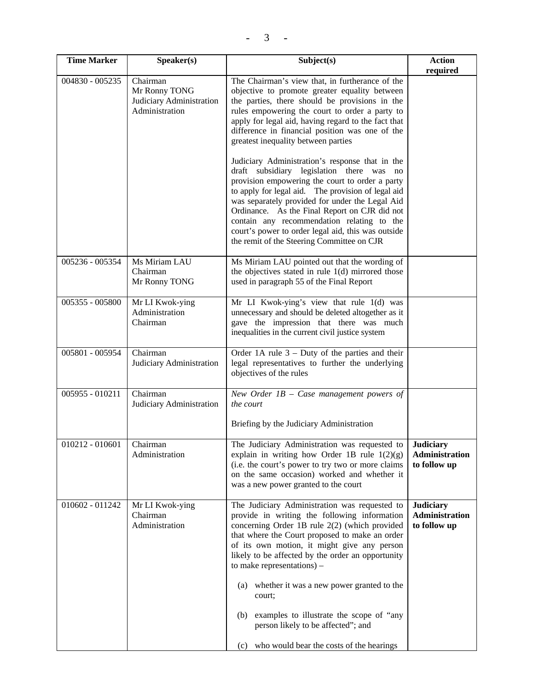| <b>Time Marker</b> | Speaker(s)                                                              | Subject(s)                                                                                                                                                                                                                                                                                                                                                                                               | <b>Action</b><br>required                          |
|--------------------|-------------------------------------------------------------------------|----------------------------------------------------------------------------------------------------------------------------------------------------------------------------------------------------------------------------------------------------------------------------------------------------------------------------------------------------------------------------------------------------------|----------------------------------------------------|
| 004830 - 005235    | Chairman<br>Mr Ronny TONG<br>Judiciary Administration<br>Administration | The Chairman's view that, in furtherance of the<br>objective to promote greater equality between<br>the parties, there should be provisions in the<br>rules empowering the court to order a party to<br>apply for legal aid, having regard to the fact that<br>difference in financial position was one of the<br>greatest inequality between parties<br>Judiciary Administration's response that in the |                                                    |
|                    |                                                                         | draft subsidiary legislation there was no<br>provision empowering the court to order a party<br>to apply for legal aid. The provision of legal aid<br>was separately provided for under the Legal Aid<br>Ordinance. As the Final Report on CJR did not<br>contain any recommendation relating to the<br>court's power to order legal aid, this was outside<br>the remit of the Steering Committee on CJR |                                                    |
| 005236 - 005354    | Ms Miriam LAU<br>Chairman<br>Mr Ronny TONG                              | Ms Miriam LAU pointed out that the wording of<br>the objectives stated in rule $1(d)$ mirrored those<br>used in paragraph 55 of the Final Report                                                                                                                                                                                                                                                         |                                                    |
| 005355 - 005800    | Mr LI Kwok-ying<br>Administration<br>Chairman                           | Mr LI Kwok-ying's view that rule 1(d) was<br>unnecessary and should be deleted altogether as it<br>gave the impression that there was much<br>inequalities in the current civil justice system                                                                                                                                                                                                           |                                                    |
| 005801 - 005954    | Chairman<br>Judiciary Administration                                    | Order 1A rule $3$ – Duty of the parties and their<br>legal representatives to further the underlying<br>objectives of the rules                                                                                                                                                                                                                                                                          |                                                    |
| 005955 - 010211    | Chairman<br>Judiciary Administration                                    | New Order $IB$ – Case management powers of<br>the court<br>Briefing by the Judiciary Administration                                                                                                                                                                                                                                                                                                      |                                                    |
| 010212 - 010601    | Chairman<br>Administration                                              | The Judiciary Administration was requested to<br>explain in writing how Order 1B rule $1(2)(g)$<br>(i.e. the court's power to try two or more claims)<br>on the same occasion) worked and whether it<br>was a new power granted to the court                                                                                                                                                             | <b>Judiciary</b><br>Administration<br>to follow up |
| 010602 - 011242    | Mr LI Kwok-ying<br>Chairman<br>Administration                           | The Judiciary Administration was requested to<br>provide in writing the following information<br>concerning Order 1B rule 2(2) (which provided<br>that where the Court proposed to make an order<br>of its own motion, it might give any person<br>likely to be affected by the order an opportunity<br>to make representations) $-$                                                                     | <b>Judiciary</b><br>Administration<br>to follow up |
|                    |                                                                         | (a) whether it was a new power granted to the<br>court;                                                                                                                                                                                                                                                                                                                                                  |                                                    |
|                    |                                                                         | examples to illustrate the scope of "any<br>(b)<br>person likely to be affected"; and                                                                                                                                                                                                                                                                                                                    |                                                    |
|                    |                                                                         | (c) who would bear the costs of the hearings                                                                                                                                                                                                                                                                                                                                                             |                                                    |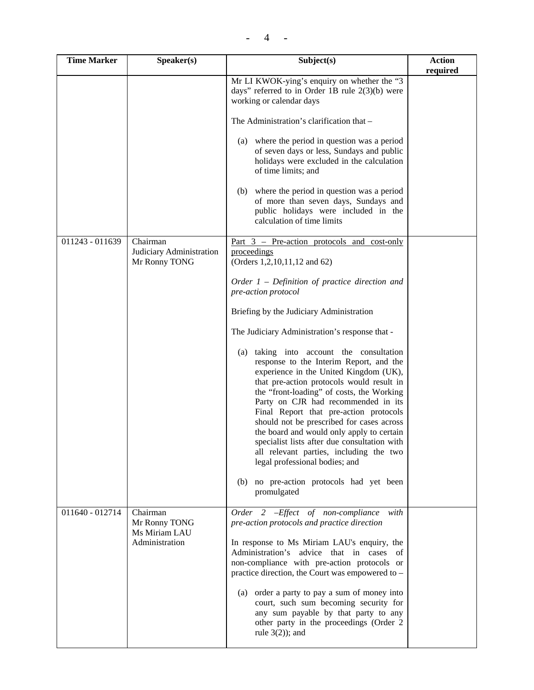| <b>Time Marker</b> | Speaker(s)                                                   | Subject(s)                                                                                                                                                                                                                                                                                                                                                                                                                                                                                                                                                                     | <b>Action</b><br>required |
|--------------------|--------------------------------------------------------------|--------------------------------------------------------------------------------------------------------------------------------------------------------------------------------------------------------------------------------------------------------------------------------------------------------------------------------------------------------------------------------------------------------------------------------------------------------------------------------------------------------------------------------------------------------------------------------|---------------------------|
|                    |                                                              | Mr LI KWOK-ying's enquiry on whether the "3<br>days" referred to in Order 1B rule $2(3)(b)$ were<br>working or calendar days                                                                                                                                                                                                                                                                                                                                                                                                                                                   |                           |
|                    |                                                              | The Administration's clarification that -                                                                                                                                                                                                                                                                                                                                                                                                                                                                                                                                      |                           |
|                    |                                                              | (a) where the period in question was a period<br>of seven days or less, Sundays and public<br>holidays were excluded in the calculation<br>of time limits; and                                                                                                                                                                                                                                                                                                                                                                                                                 |                           |
|                    |                                                              | (b) where the period in question was a period<br>of more than seven days, Sundays and<br>public holidays were included in the<br>calculation of time limits                                                                                                                                                                                                                                                                                                                                                                                                                    |                           |
| 011243 - 011639    | Chairman<br>Judiciary Administration<br>Mr Ronny TONG        | Part $3$ – Pre-action protocols and cost-only<br>proceedings<br>(Orders 1,2,10,11,12 and 62)                                                                                                                                                                                                                                                                                                                                                                                                                                                                                   |                           |
|                    |                                                              | Order $1$ – Definition of practice direction and<br>pre-action protocol                                                                                                                                                                                                                                                                                                                                                                                                                                                                                                        |                           |
|                    |                                                              | Briefing by the Judiciary Administration                                                                                                                                                                                                                                                                                                                                                                                                                                                                                                                                       |                           |
|                    |                                                              | The Judiciary Administration's response that -                                                                                                                                                                                                                                                                                                                                                                                                                                                                                                                                 |                           |
|                    |                                                              | taking into account the consultation<br>(a)<br>response to the Interim Report, and the<br>experience in the United Kingdom (UK),<br>that pre-action protocols would result in<br>the "front-loading" of costs, the Working<br>Party on CJR had recommended in its<br>Final Report that pre-action protocols<br>should not be prescribed for cases across<br>the board and would only apply to certain<br>specialist lists after due consultation with<br>all relevant parties, including the two<br>legal professional bodies; and<br>(b) no pre-action protocols had yet been |                           |
|                    |                                                              | promulgated                                                                                                                                                                                                                                                                                                                                                                                                                                                                                                                                                                    |                           |
| 011640 - 012714    | Chairman<br>Mr Ronny TONG<br>Ms Miriam LAU<br>Administration | Order 2 - Effect of non-compliance<br>with<br>pre-action protocols and practice direction<br>In response to Ms Miriam LAU's enquiry, the<br>Administration's advice that in cases of<br>non-compliance with pre-action protocols or<br>practice direction, the Court was empowered to -<br>order a party to pay a sum of money into<br>(a)<br>court, such sum becoming security for<br>any sum payable by that party to any<br>other party in the proceedings (Order 2<br>rule $3(2)$ ; and                                                                                    |                           |